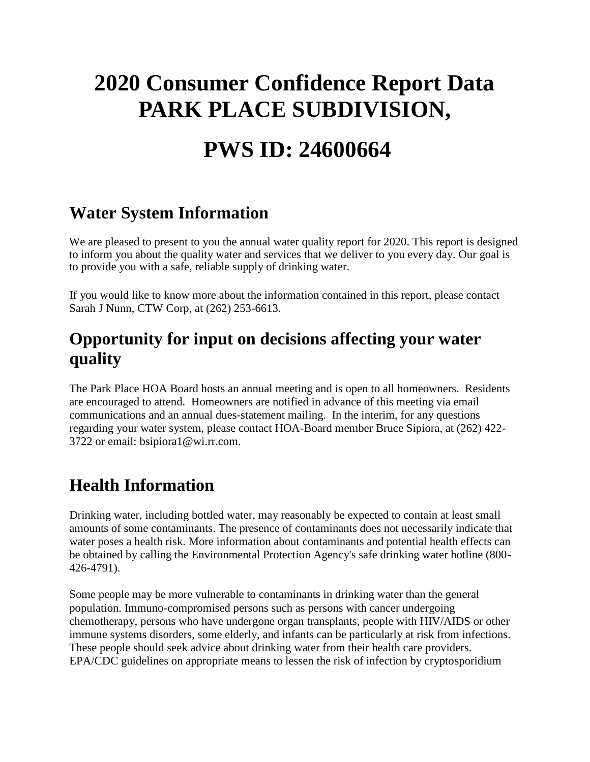# **2020 Consumer Confidence Report Data PARK PLACE SUBDIVISION,**

## **PWS ID: 24600664**

#### **Water System Information**

We are pleased to present to you the annual water quality report for 2020. This report is designed to inform you about the quality water and services that we deliver to you every day. Our goal is to provide you with a safe, reliable supply of drinking water.

If you would like to know more about the information contained in this report, please contact Sarah J Nunn, CTW Corp, at (262) 253-6613.

#### **Opportunity for input on decisions affecting your water quality**

The Park Place HOA Board hosts an annual meeting and is open to all homeowners. Residents are encouraged to attend. Homeowners are notified in advance of this meeting via email communications and an annual dues-statement mailing. In the interim, for any questions regarding your water system, please contact HOA-Board member Bruce Sipiora, at (262) 422- 3722 or email: bsipiora1@wi.rr.com.

### **Health Information**

Drinking water, including bottled water, may reasonably be expected to contain at least small amounts of some contaminants. The presence of contaminants does not necessarily indicate that water poses a health risk. More information about contaminants and potential health effects can be obtained by calling the Environmental Protection Agency's safe drinking water hotline (800- 426-4791).

Some people may be more vulnerable to contaminants in drinking water than the general population. Immuno-compromised persons such as persons with cancer undergoing chemotherapy, persons who have undergone organ transplants, people with HIV/AIDS or other immune systems disorders, some elderly, and infants can be particularly at risk from infections. These people should seek advice about drinking water from their health care providers. EPA/CDC guidelines on appropriate means to lessen the risk of infection by cryptosporidium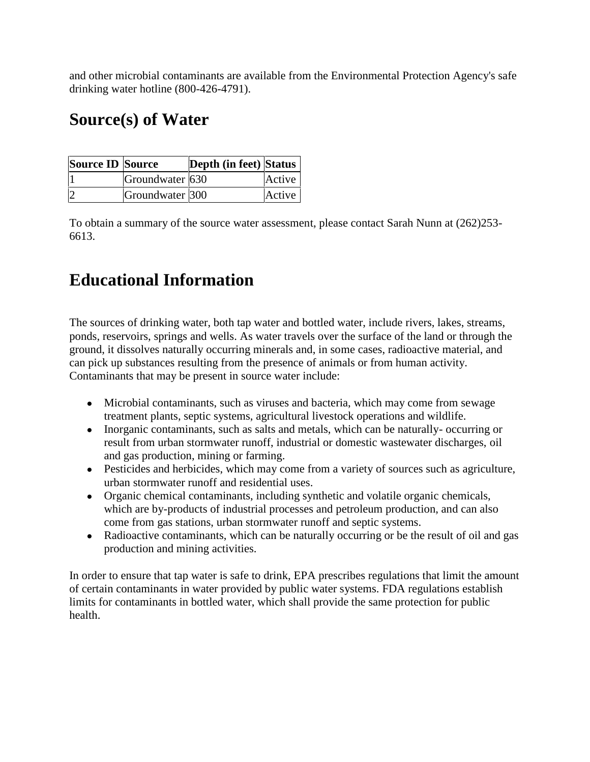and other microbial contaminants are available from the Environmental Protection Agency's safe drinking water hotline (800-426-4791).

### **Source(s) of Water**

| <b>Source ID Source</b> |                 | <b>Depth (in feet) Status</b> |        |
|-------------------------|-----------------|-------------------------------|--------|
|                         | Groundwater 630 |                               | Active |
|                         | Groundwater 300 |                               | Active |

To obtain a summary of the source water assessment, please contact Sarah Nunn at (262)253- 6613.

### **Educational Information**

The sources of drinking water, both tap water and bottled water, include rivers, lakes, streams, ponds, reservoirs, springs and wells. As water travels over the surface of the land or through the ground, it dissolves naturally occurring minerals and, in some cases, radioactive material, and can pick up substances resulting from the presence of animals or from human activity. Contaminants that may be present in source water include:

Microbial contaminants, such as viruses and bacteria, which may come from sewage treatment plants, septic systems, agricultural livestock operations and wildlife. Inorganic contaminants, such as salts and metals, which can be naturally- occurring or result from urban stormwater runoff, industrial or domestic wastewater discharges, oil and gas production, mining or farming.

Pesticides and herbicides, which may come from a variety of sources such as agriculture, urban stormwater runoff and residential uses.

Organic chemical contaminants, including synthetic and volatile organic chemicals, which are by-products of industrial processes and petroleum production, and can also come from gas stations, urban stormwater runoff and septic systems.

Radioactive contaminants, which can be naturally occurring or be the result of oil and gas production and mining activities.

In order to ensure that tap water is safe to drink, EPA prescribes regulations that limit the amount of certain contaminants in water provided by public water systems. FDA regulations establish limits for contaminants in bottled water, which shall provide the same protection for public health.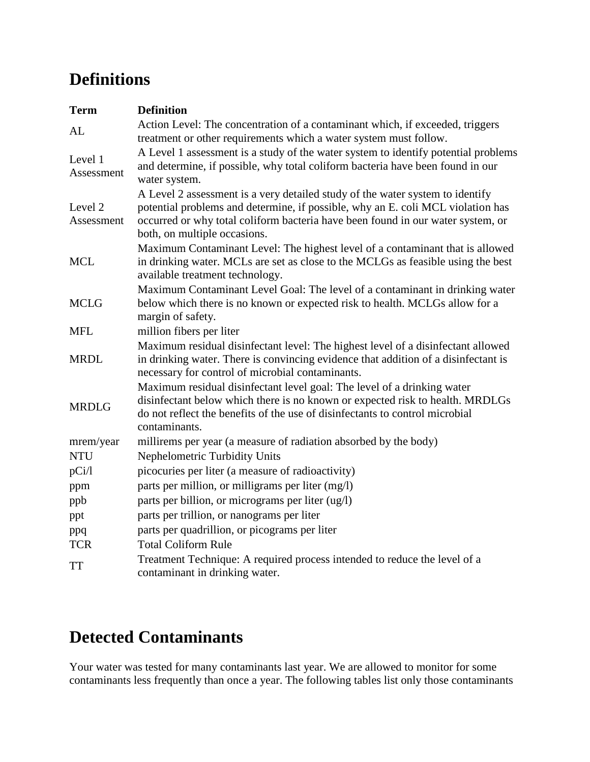### **Definitions**

| <b>Term</b>                      | <b>Definition</b>                                                                                                                                                                                                                                                                   |
|----------------------------------|-------------------------------------------------------------------------------------------------------------------------------------------------------------------------------------------------------------------------------------------------------------------------------------|
| AL                               | Action Level: The concentration of a contaminant which, if exceeded, triggers<br>treatment or other requirements which a water system must follow.                                                                                                                                  |
| Level 1<br>Assessment            | A Level 1 assessment is a study of the water system to identify potential problems<br>and determine, if possible, why total coliform bacteria have been found in our<br>water system.                                                                                               |
| Level <sub>2</sub><br>Assessment | A Level 2 assessment is a very detailed study of the water system to identify<br>potential problems and determine, if possible, why an E. coli MCL violation has<br>occurred or why total coliform bacteria have been found in our water system, or<br>both, on multiple occasions. |
| <b>MCL</b>                       | Maximum Contaminant Level: The highest level of a contaminant that is allowed<br>in drinking water. MCLs are set as close to the MCLGs as feasible using the best<br>available treatment technology.                                                                                |
| <b>MCLG</b>                      | Maximum Contaminant Level Goal: The level of a contaminant in drinking water<br>below which there is no known or expected risk to health. MCLGs allow for a<br>margin of safety.                                                                                                    |
| <b>MFL</b>                       | million fibers per liter                                                                                                                                                                                                                                                            |
| <b>MRDL</b>                      | Maximum residual disinfectant level: The highest level of a disinfectant allowed<br>in drinking water. There is convincing evidence that addition of a disinfectant is<br>necessary for control of microbial contaminants.                                                          |
| <b>MRDLG</b>                     | Maximum residual disinfectant level goal: The level of a drinking water<br>disinfectant below which there is no known or expected risk to health. MRDLGs<br>do not reflect the benefits of the use of disinfectants to control microbial<br>contaminants.                           |
| mrem/year                        | millirems per year (a measure of radiation absorbed by the body)                                                                                                                                                                                                                    |
| <b>NTU</b>                       | Nephelometric Turbidity Units                                                                                                                                                                                                                                                       |
| pCi/l                            | picocuries per liter (a measure of radioactivity)                                                                                                                                                                                                                                   |
| ppm                              | parts per million, or milligrams per liter (mg/l)                                                                                                                                                                                                                                   |
| ppb                              | parts per billion, or micrograms per liter (ug/l)                                                                                                                                                                                                                                   |
| ppt                              | parts per trillion, or nanograms per liter                                                                                                                                                                                                                                          |
| ppq                              | parts per quadrillion, or picograms per liter                                                                                                                                                                                                                                       |
| <b>TCR</b>                       | <b>Total Coliform Rule</b>                                                                                                                                                                                                                                                          |
| <b>TT</b>                        | Treatment Technique: A required process intended to reduce the level of a<br>contaminant in drinking water.                                                                                                                                                                         |

## **Detected Contaminants**

Your water was tested for many contaminants last year. We are allowed to monitor for some contaminants less frequently than once a year. The following tables list only those contaminants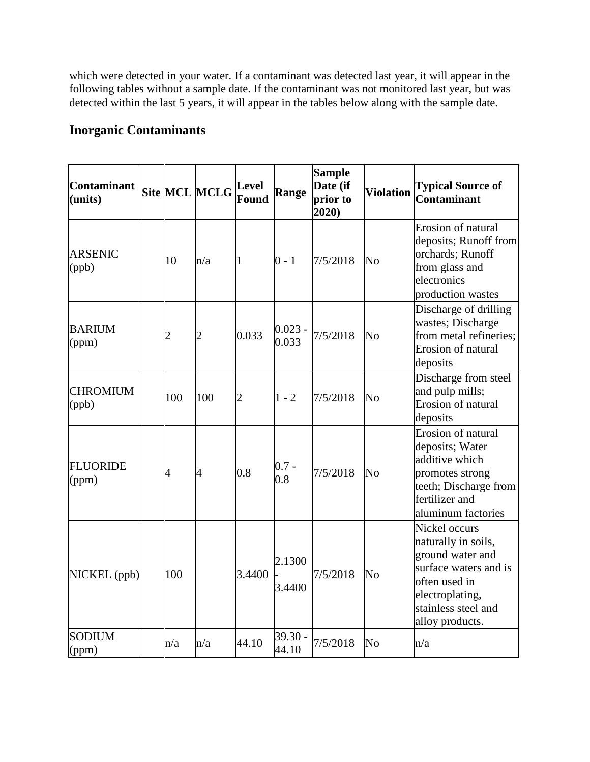which were detected in your water. If a contaminant was detected last year, it will appear in the following tables without a sample date. If the contaminant was not monitored last year, but was detected within the last 5 years, it will appear in the tables below along with the sample date.

#### **Inorganic Contaminants**

| Contaminant<br>(units)   |                | Site MCL MCLG  | Level<br>Found | Range              | <b>Sample</b><br>Date (if<br>prior to<br>2020) | <b>Violation</b> | <b>Typical Source of</b><br><b>Contaminant</b>                                                                                                                  |
|--------------------------|----------------|----------------|----------------|--------------------|------------------------------------------------|------------------|-----------------------------------------------------------------------------------------------------------------------------------------------------------------|
| <b>ARSENIC</b><br>(ppb)  | 10             | n/a            | 1              | $0 - 1$            | 7/5/2018                                       | No               | Erosion of natural<br>deposits; Runoff from<br>orchards; Runoff<br>from glass and<br>electronics<br>production wastes                                           |
| <b>BARIUM</b><br>(ppm)   | $\overline{c}$ | $\overline{2}$ | 0.033          | $0.023 -$<br>0.033 | 7/5/2018                                       | No               | Discharge of drilling<br>wastes; Discharge<br>from metal refineries;<br>Erosion of natural<br>deposits                                                          |
| <b>CHROMIUM</b><br>(ppb) | 100            | 100            | $\overline{c}$ | $1 - 2$            | 7/5/2018                                       | No               | Discharge from steel<br>and pulp mills;<br>Erosion of natural<br>deposits                                                                                       |
| <b>FLUORIDE</b><br>(ppm) | $\overline{A}$ | $\overline{4}$ | 0.8            | $0.7 -$<br>0.8     | 7/5/2018                                       | No               | Erosion of natural<br>deposits; Water<br>additive which<br>promotes strong<br>teeth; Discharge from<br>fertilizer and<br>aluminum factories                     |
| NICKEL (ppb)             | 100            |                | 3.4400         | 2.1300<br>3.4400   | 7/5/2018                                       | No               | Nickel occurs<br>naturally in soils,<br>ground water and<br>surface waters and is<br>often used in<br>electroplating,<br>stainless steel and<br>alloy products. |
| <b>SODIUM</b><br>(ppm)   | n/a            | n/a            | 44.10          | $39.30 -$<br>44.10 | 7/5/2018                                       | N <sub>o</sub>   | n/a                                                                                                                                                             |